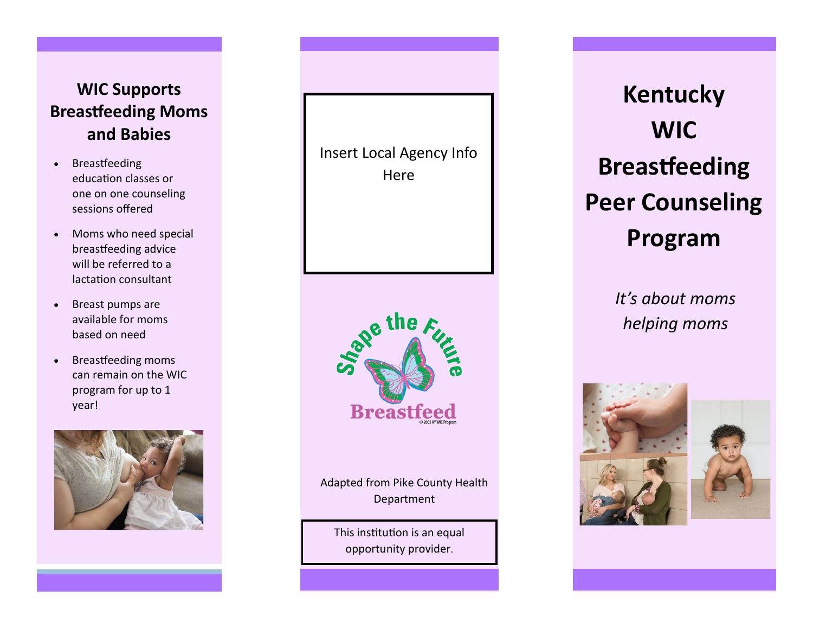# **WIC Supports Breastfeeding Moms and Babies**

- Breastfeeding education classes or one on one counseling sessions offered
- Moms who need special breastfeeding advice will be referred to a lactation consultant
- Breast pumps are available for moms based on need
- Breastfeeding moms can remain on the WIC program for up to 1 year!



Insert Local Agency Info **Here** 



Adapted from Pike County Health Department

This institution is an equal opportunity provider.

**Kentucky WIC Breastfeeding Peer Counseling Program**

> *It's about moms helping moms*